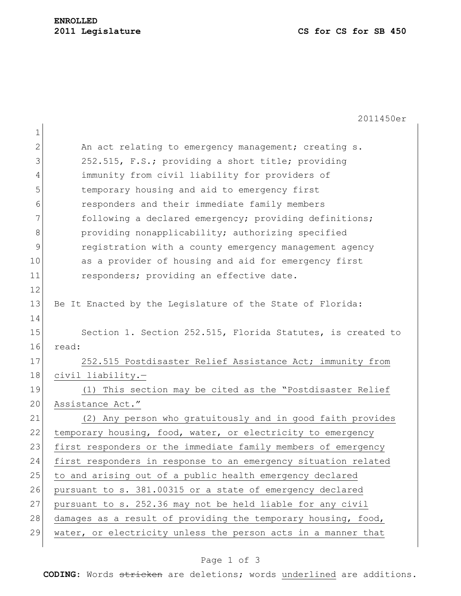2011450er

| $\mathbf 1$   |                                                                |
|---------------|----------------------------------------------------------------|
| $\mathbf{2}$  | An act relating to emergency management; creating s.           |
| 3             | 252.515, F.S.; providing a short title; providing              |
| 4             | immunity from civil liability for providers of                 |
| 5             | temporary housing and aid to emergency first                   |
| 6             | responders and their immediate family members                  |
| 7             | following a declared emergency; providing definitions;         |
| 8             | providing nonapplicability; authorizing specified              |
| $\mathcal{G}$ | registration with a county emergency management agency         |
| 10            | as a provider of housing and aid for emergency first           |
| 11            | responders; providing an effective date.                       |
| 12            |                                                                |
| 13            | Be It Enacted by the Legislature of the State of Florida:      |
| 14            |                                                                |
| 15            | Section 1. Section 252.515, Florida Statutes, is created to    |
| 16            | read:                                                          |
| 17            | 252.515 Postdisaster Relief Assistance Act; immunity from      |
| 18            | civil liability.-                                              |
| 19            | (1) This section may be cited as the "Postdisaster Relief      |
| 20            | Assistance Act."                                               |
| 21            | (2) Any person who gratuitously and in good faith provides     |
| 22            | temporary housing, food, water, or electricity to emergency    |
| 23            | first responders or the immediate family members of emergency  |
| 24            | first responders in response to an emergency situation related |
| 25            | to and arising out of a public health emergency declared       |
| 26            | pursuant to s. 381.00315 or a state of emergency declared      |
| 27            | pursuant to s. 252.36 may not be held liable for any civil     |
| 28            | damages as a result of providing the temporary housing, food,  |
| 29            | water, or electricity unless the person acts in a manner that  |

## Page 1 of 3

**CODING**: Words stricken are deletions; words underlined are additions.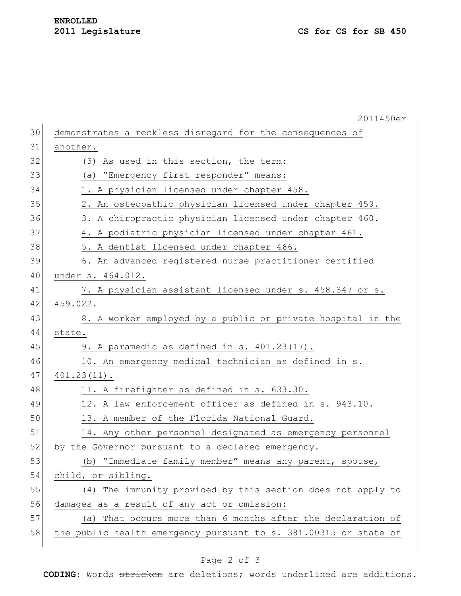|    | 2011450er                                                        |
|----|------------------------------------------------------------------|
| 30 | demonstrates a reckless disregard for the consequences of        |
| 31 | another.                                                         |
| 32 | (3) As used in this section, the term:                           |
| 33 | (a) "Emergency first responder" means:                           |
| 34 | 1. A physician licensed under chapter 458.                       |
| 35 | 2. An osteopathic physician licensed under chapter 459.          |
| 36 | 3. A chiropractic physician licensed under chapter 460.          |
| 37 | 4. A podiatric physician licensed under chapter 461.             |
| 38 | 5. A dentist licensed under chapter 466.                         |
| 39 | 6. An advanced registered nurse practitioner certified           |
| 40 | under s. 464.012.                                                |
| 41 | 7. A physician assistant licensed under s. 458.347 or s.         |
| 42 | 459.022.                                                         |
| 43 | 8. A worker employed by a public or private hospital in the      |
| 44 | state.                                                           |
| 45 | 9. A paramedic as defined in s. 401.23(17).                      |
| 46 | 10. An emergency medical technician as defined in s.             |
| 47 | $401.23(11)$ .                                                   |
| 48 | 11. A firefighter as defined in s. 633.30.                       |
| 49 | 12. A law enforcement officer as defined in s. 943.10.           |
| 50 | 13. A member of the Florida National Guard.                      |
| 51 | 14. Any other personnel designated as emergency personnel        |
| 52 | by the Governor pursuant to a declared emergency.                |
| 53 | (b) "Immediate family member" means any parent, spouse,          |
| 54 | child, or sibling.                                               |
| 55 | (4) The immunity provided by this section does not apply to      |
| 56 | damages as a result of any act or omission:                      |
| 57 | (a) That occurs more than 6 months after the declaration of      |
| 58 | the public health emergency pursuant to s. 381.00315 or state of |
|    |                                                                  |

## Page 2 of 3

**CODING**: Words stricken are deletions; words underlined are additions.